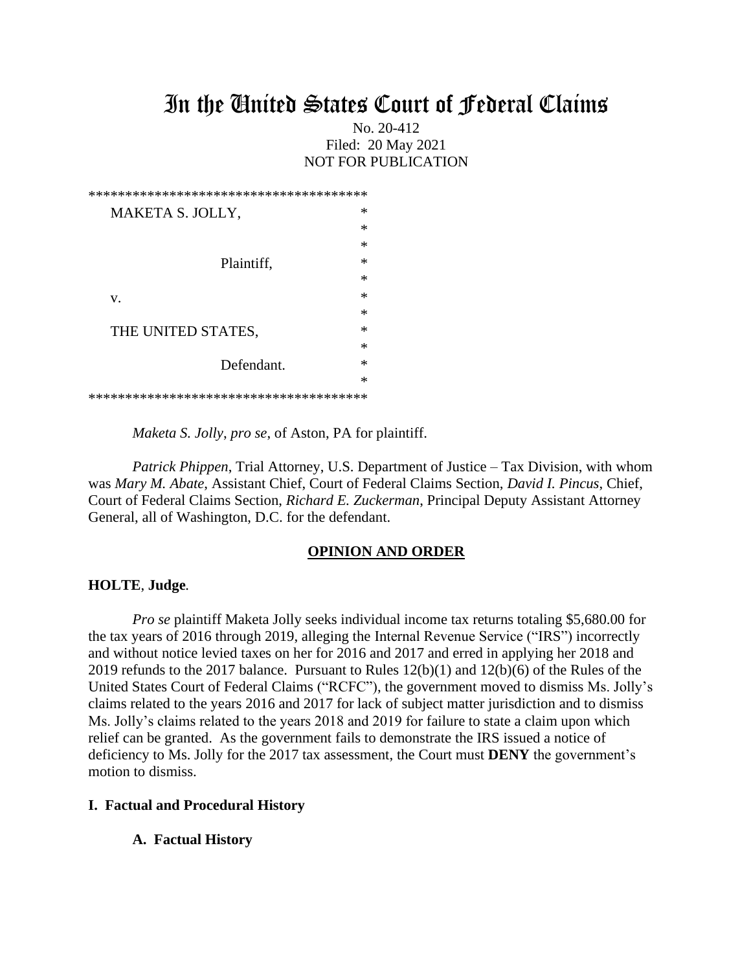# In the United States Court of Federal Claims

## No. 20-412 Filed: 20 May 2021 NOT FOR PUBLICATION

| ∗<br>MAKETA S. JOLLY,   |  |
|-------------------------|--|
| ∗                       |  |
| ∗                       |  |
| ∗<br>Plaintiff,         |  |
| ∗                       |  |
| ∗<br>v.                 |  |
| ∗                       |  |
| ∗<br>THE UNITED STATES, |  |
| ∗                       |  |
| ∗<br>Defendant.         |  |
| ∗                       |  |
|                         |  |

*Maketa S. Jolly*, *pro se*, of Aston, PA for plaintiff.

*Patrick Phippen*, Trial Attorney, U.S. Department of Justice – Tax Division, with whom was *Mary M. Abate*, Assistant Chief, Court of Federal Claims Section, *David I. Pincus*, Chief, Court of Federal Claims Section, *Richard E. Zuckerman*, Principal Deputy Assistant Attorney General, all of Washington, D.C. for the defendant.

### **OPINION AND ORDER**

#### **HOLTE**, **Judge***.*

*Pro se* plaintiff Maketa Jolly seeks individual income tax returns totaling \$5,680.00 for the tax years of 2016 through 2019, alleging the Internal Revenue Service ("IRS") incorrectly and without notice levied taxes on her for 2016 and 2017 and erred in applying her 2018 and 2019 refunds to the 2017 balance. Pursuant to Rules 12(b)(1) and 12(b)(6) of the Rules of the United States Court of Federal Claims ("RCFC"), the government moved to dismiss Ms. Jolly's claims related to the years 2016 and 2017 for lack of subject matter jurisdiction and to dismiss Ms. Jolly's claims related to the years 2018 and 2019 for failure to state a claim upon which relief can be granted. As the government fails to demonstrate the IRS issued a notice of deficiency to Ms. Jolly for the 2017 tax assessment, the Court must **DENY** the government's motion to dismiss.

### **I. Factual and Procedural History**

#### **A. Factual History**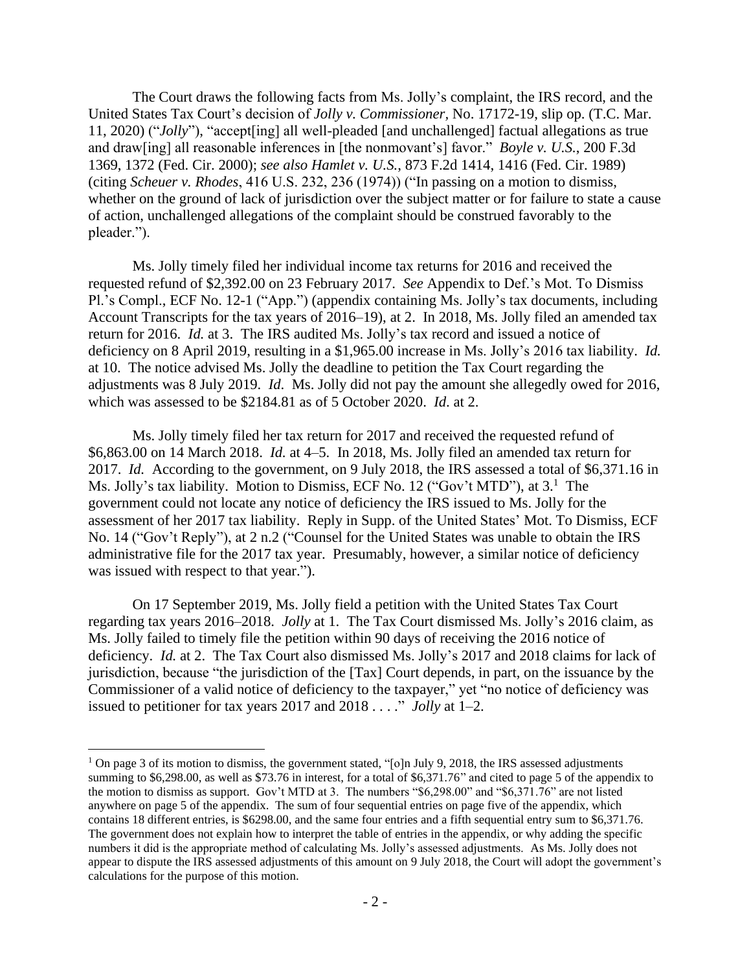The Court draws the following facts from Ms. Jolly's complaint, the IRS record, and the United States Tax Court's decision of *Jolly v. Commissioner,* No. 17172-19, slip op. (T.C. Mar. 11, 2020) ("*Jolly*"), "accept[ing] all well-pleaded [and unchallenged] factual allegations as true and draw[ing] all reasonable inferences in [the nonmovant's] favor." *Boyle v. U.S.*, 200 F.3d 1369, 1372 (Fed. Cir. 2000); *see also Hamlet v. U.S.*, 873 F.2d 1414, 1416 (Fed. Cir. 1989) (citing *Scheuer v. Rhodes*, 416 U.S. 232, 236 (1974)) ("In passing on a motion to dismiss, whether on the ground of lack of jurisdiction over the subject matter or for failure to state a cause of action, unchallenged allegations of the complaint should be construed favorably to the pleader.").

Ms. Jolly timely filed her individual income tax returns for 2016 and received the requested refund of \$2,392.00 on 23 February 2017. *See* Appendix to Def.'s Mot. To Dismiss Pl.'s Compl., ECF No. 12-1 ("App.") (appendix containing Ms. Jolly's tax documents, including Account Transcripts for the tax years of 2016–19), at 2. In 2018, Ms. Jolly filed an amended tax return for 2016. *Id.* at 3. The IRS audited Ms. Jolly's tax record and issued a notice of deficiency on 8 April 2019, resulting in a \$1,965.00 increase in Ms. Jolly's 2016 tax liability. *Id.*  at 10. The notice advised Ms. Jolly the deadline to petition the Tax Court regarding the adjustments was 8 July 2019. *Id*. Ms. Jolly did not pay the amount she allegedly owed for 2016, which was assessed to be \$2184.81 as of 5 October 2020. *Id*. at 2.

Ms. Jolly timely filed her tax return for 2017 and received the requested refund of \$6,863.00 on 14 March 2018. *Id.* at 4–5. In 2018, Ms. Jolly filed an amended tax return for 2017. *Id.* According to the government, on 9 July 2018, the IRS assessed a total of \$6,371.16 in Ms. Jolly's tax liability. Motion to Dismiss, ECF No. 12 ("Gov't MTD"), at 3.<sup>1</sup> The government could not locate any notice of deficiency the IRS issued to Ms. Jolly for the assessment of her 2017 tax liability. Reply in Supp. of the United States' Mot. To Dismiss, ECF No. 14 ("Gov't Reply"), at 2 n.2 ("Counsel for the United States was unable to obtain the IRS administrative file for the 2017 tax year. Presumably, however, a similar notice of deficiency was issued with respect to that year.").

On 17 September 2019, Ms. Jolly field a petition with the United States Tax Court regarding tax years 2016–2018. *Jolly* at 1. The Tax Court dismissed Ms. Jolly's 2016 claim, as Ms. Jolly failed to timely file the petition within 90 days of receiving the 2016 notice of deficiency. *Id.* at 2. The Tax Court also dismissed Ms. Jolly's 2017 and 2018 claims for lack of jurisdiction, because "the jurisdiction of the [Tax] Court depends, in part, on the issuance by the Commissioner of a valid notice of deficiency to the taxpayer," yet "no notice of deficiency was issued to petitioner for tax years 2017 and 2018 . . . ." *Jolly* at 1–2.

<sup>&</sup>lt;sup>1</sup> On page 3 of its motion to dismiss, the government stated, "[o]n July 9, 2018, the IRS assessed adjustments summing to \$6,298.00, as well as \$73.76 in interest, for a total of \$6,371.76" and cited to page 5 of the appendix to the motion to dismiss as support. Gov't MTD at 3. The numbers "\$6,298.00" and "\$6,371.76" are not listed anywhere on page 5 of the appendix. The sum of four sequential entries on page five of the appendix, which contains 18 different entries, is \$6298.00, and the same four entries and a fifth sequential entry sum to \$6,371.76. The government does not explain how to interpret the table of entries in the appendix, or why adding the specific numbers it did is the appropriate method of calculating Ms. Jolly's assessed adjustments. As Ms. Jolly does not appear to dispute the IRS assessed adjustments of this amount on 9 July 2018, the Court will adopt the government's calculations for the purpose of this motion.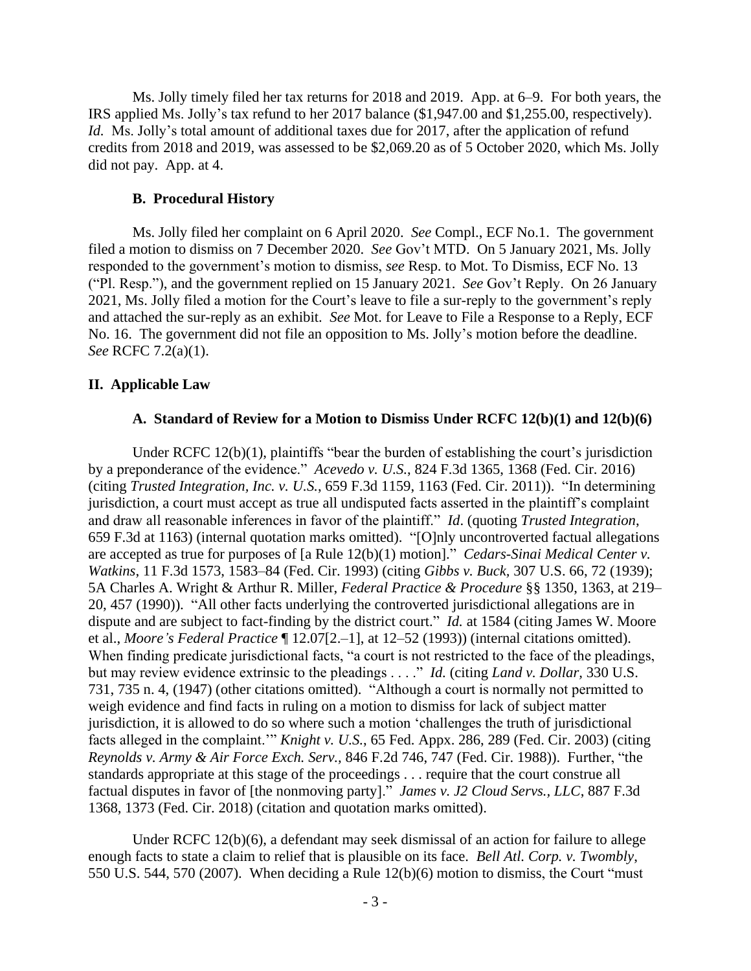Ms. Jolly timely filed her tax returns for 2018 and 2019. App. at 6–9. For both years, the IRS applied Ms. Jolly's tax refund to her 2017 balance (\$1,947.00 and \$1,255.00, respectively). *Id.* Ms. Jolly's total amount of additional taxes due for 2017, after the application of refund credits from 2018 and 2019, was assessed to be \$2,069.20 as of 5 October 2020, which Ms. Jolly did not pay. App. at 4.

#### **B. Procedural History**

Ms. Jolly filed her complaint on 6 April 2020. *See* Compl., ECF No.1. The government filed a motion to dismiss on 7 December 2020. *See* Gov't MTD. On 5 January 2021, Ms. Jolly responded to the government's motion to dismiss, *see* Resp. to Mot. To Dismiss, ECF No. 13 ("Pl. Resp."), and the government replied on 15 January 2021. *See* Gov't Reply. On 26 January 2021, Ms. Jolly filed a motion for the Court's leave to file a sur-reply to the government's reply and attached the sur-reply as an exhibit. *See* Mot. for Leave to File a Response to a Reply, ECF No. 16. The government did not file an opposition to Ms. Jolly's motion before the deadline. *See* RCFC 7.2(a)(1).

#### **II. Applicable Law**

#### **A. Standard of Review for a Motion to Dismiss Under RCFC 12(b)(1) and 12(b)(6)**

Under RCFC 12(b)(1), plaintiffs "bear the burden of establishing the court's jurisdiction by a preponderance of the evidence." *Acevedo v. U.S.*, 824 F.3d 1365, 1368 (Fed. Cir. 2016) (citing *Trusted Integration, Inc. v. U.S.*, 659 F.3d 1159, 1163 (Fed. Cir. 2011)). "In determining jurisdiction, a court must accept as true all undisputed facts asserted in the plaintiff's complaint and draw all reasonable inferences in favor of the plaintiff." *Id*. (quoting *Trusted Integration*, 659 F.3d at 1163) (internal quotation marks omitted). "[O]nly uncontroverted factual allegations are accepted as true for purposes of [a Rule 12(b)(1) motion]." *Cedars-Sinai Medical Center v. Watkins*, 11 F.3d 1573, 1583–84 (Fed. Cir. 1993) (citing *Gibbs v. Buck,* [307 U.S. 66, 72](https://1.next.westlaw.com/Link/Document/FullText?findType=Y&serNum=1939122136&pubNum=0000708&originatingDoc=I07522b4a970011d993e6d35cc61aab4a&refType=RP&fi=co_pp_sp_708_729&originationContext=document&transitionType=DocumentItem&contextData=(sc.Search)#co_pp_sp_708_729) (1939); 5A Charles A. Wright & Arthur R. Miller, *Federal Practice & Procedure* §§ 1350, 1363, at 219– 20, 457 (1990)). "All other facts underlying the controverted jurisdictional allegations are in dispute and are subject to fact-finding by the district court." *Id.* at 1584 (citing James W. Moore et al., *Moore's Federal Practice* ¶ 12.07[2.–1], at 12–52 (1993)) (internal citations omitted). When finding predicate jurisdictional facts, "a court is not restricted to the face of the pleadings, but may review evidence extrinsic to the pleadings . . . ." *Id.* (citing *Land v. Dollar*, 330 U.S. [731, 735 n. 4, \(1947\)](https://1.next.westlaw.com/Link/Document/FullText?findType=Y&serNum=1947115765&pubNum=0000708&originatingDoc=I07522b4a970011d993e6d35cc61aab4a&refType=RP&fi=co_pp_sp_708_1011&originationContext=document&transitionType=DocumentItem&contextData=(sc.UserEnteredCitation)#co_pp_sp_708_1011) (other citations omitted). "Although a court is normally not permitted to weigh evidence and find facts in ruling on a motion to dismiss for lack of subject matter jurisdiction, it is allowed to do so where such a motion 'challenges the truth of jurisdictional facts alleged in the complaint.'" *Knight v. U.S.*, 65 Fed. Appx. 286, 289 (Fed. Cir. 2003) (citing *[Reynolds v. Army & Air Force Exch. Serv.,](https://1.next.westlaw.com/Link/Document/FullText?findType=Y&serNum=1988064381&pubNum=0000350&originatingDoc=I450c059f89d711d9b6ea9f5a173c4523&refType=RP&fi=co_pp_sp_350_747&originationContext=document&transitionType=DocumentItem&contextData=(sc.Search)#co_pp_sp_350_747)* 846 F.2d 746, 747 (Fed. Cir. 1988)). Further, "the standards appropriate at this stage of the proceedings . . . require that the court construe all factual disputes in favor of [the nonmoving party]." *James v. J2 Cloud Servs., LLC*, 887 F.3d 1368, 1373 (Fed. Cir. 2018) (citation and quotation marks omitted).

Under RCFC 12(b)(6), a defendant may seek dismissal of an action for failure to allege enough facts to state a claim to relief that is plausible on its face. *Bell Atl. Corp. v. Twombly*, 550 U.S. 544, 570 (2007). When deciding a Rule 12(b)(6) motion to dismiss, the Court "must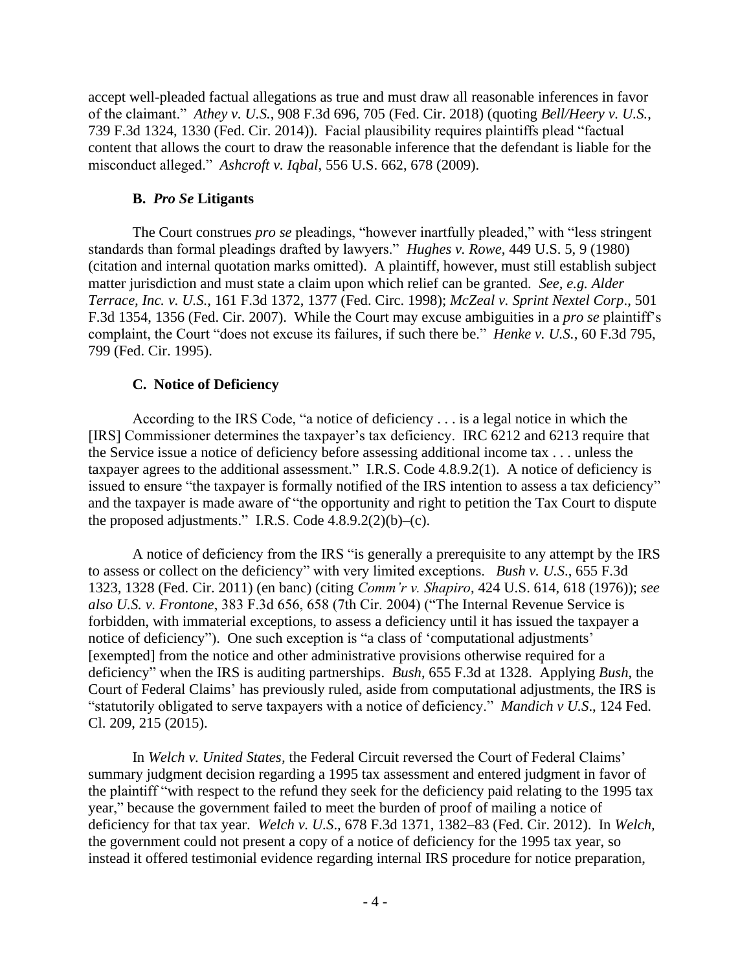accept well-pleaded factual allegations as true and must draw all reasonable inferences in favor of the claimant." *Athey v. U.S.*, 908 F.3d 696, 705 (Fed. Cir. 2018) (quoting *Bell/Heery v. U.S.*, 739 F.3d 1324, 1330 (Fed. Cir. 2014)). Facial plausibility requires plaintiffs plead "factual content that allows the court to draw the reasonable inference that the defendant is liable for the misconduct alleged." *Ashcroft v. Iqbal*, 556 U.S. 662, 678 (2009).

# **B.** *Pro Se* **Litigants**

The Court construes *pro se* pleadings, "however inartfully pleaded," with "less stringent standards than formal pleadings drafted by lawyers." *Hughes v. Rowe*, 449 U.S. 5, 9 (1980) (citation and internal quotation marks omitted). A plaintiff, however, must still establish subject matter jurisdiction and must state a claim upon which relief can be granted. *See, e.g. Alder Terrace, Inc. v. U.S.*, 161 F.3d 1372, 1377 (Fed. Circ. 1998); *McZeal v. Sprint Nextel Corp*., 501 F.3d 1354, 1356 (Fed. Cir. 2007). While the Court may excuse ambiguities in a *pro se* plaintiff's complaint, the Court "does not excuse its failures, if such there be." *Henke v. U.S.*, 60 F.3d 795, 799 (Fed. Cir. 1995).

# **C. Notice of Deficiency**

According to the IRS Code, "a notice of deficiency . . . is a legal notice in which the [IRS] Commissioner determines the taxpayer's tax deficiency. IRC 6212 and 6213 require that the Service issue a notice of deficiency before assessing additional income tax . . . unless the taxpayer agrees to the additional assessment." I.R.S. Code 4.8.9.2(1). A notice of deficiency is issued to ensure "the taxpayer is formally notified of the IRS intention to assess a tax deficiency" and the taxpayer is made aware of "the opportunity and right to petition the Tax Court to dispute the proposed adjustments." I.R.S. Code  $4.8.9.2(2)(b)$ –(c).

A notice of deficiency from the IRS "is generally a prerequisite to any attempt by the IRS to assess or collect on the deficiency" with very limited exceptions. *Bush v. U.S*., 655 F.3d 1323, 1328 (Fed. Cir. 2011) (en banc) (citing *Comm'r v. Shapiro*, 424 U.S. 614, 618 (1976)); *see also U.S. v. Frontone*, 383 F.3d 656, 658 (7th Cir. 2004) ("The Internal Revenue Service is forbidden, with immaterial exceptions, to assess a deficiency until it has issued the taxpayer a notice of deficiency"). One such exception is "a class of 'computational adjustments' [exempted] from the notice and other administrative provisions otherwise required for a deficiency" when the IRS is auditing partnerships. *Bush*, 655 F.3d at 1328. Applying *Bush*, the Court of Federal Claims' has previously ruled, aside from computational adjustments, the IRS is "statutorily obligated to serve taxpayers with a notice of deficiency." *Mandich v U.S*., 124 Fed. Cl. 209, 215 (2015).

In *Welch v. United States,* the Federal Circuit reversed the Court of Federal Claims' summary judgment decision regarding a 1995 tax assessment and entered judgment in favor of the plaintiff "with respect to the refund they seek for the deficiency paid relating to the 1995 tax year," because the government failed to meet the burden of proof of mailing a notice of deficiency for that tax year. *Welch v. U.S*., 678 F.3d 1371, 1382–83 (Fed. Cir. 2012). In *Welch,*  the government could not present a copy of a notice of deficiency for the 1995 tax year, so instead it offered testimonial evidence regarding internal IRS procedure for notice preparation,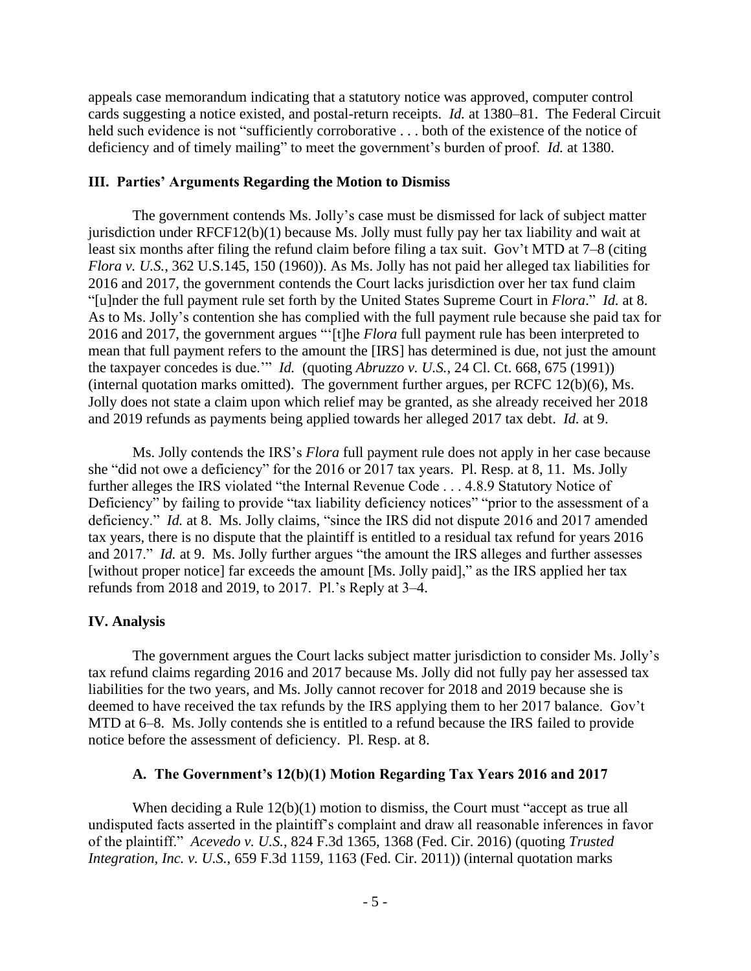appeals case memorandum indicating that a statutory notice was approved, computer control cards suggesting a notice existed, and postal-return receipts. *Id.* at 1380–81. The Federal Circuit held such evidence is not "sufficiently corroborative . . . both of the existence of the notice of deficiency and of timely mailing" to meet the government's burden of proof. *Id.* at 1380.

# **III. Parties' Arguments Regarding the Motion to Dismiss**

The government contends Ms. Jolly's case must be dismissed for lack of subject matter jurisdiction under RFCF12(b)(1) because Ms. Jolly must fully pay her tax liability and wait at least six months after filing the refund claim before filing a tax suit. Gov't MTD at 7–8 (citing *Flora v. U.S.*, 362 U.S.145, 150 (1960)). As Ms. Jolly has not paid her alleged tax liabilities for 2016 and 2017, the government contends the Court lacks jurisdiction over her tax fund claim "[u]nder the full payment rule set forth by the United States Supreme Court in *Flora*." *Id.* at 8. As to Ms. Jolly's contention she has complied with the full payment rule because she paid tax for 2016 and 2017, the government argues "'[t]he *Flora* full payment rule has been interpreted to mean that full payment refers to the amount the [IRS] has determined is due, not just the amount the taxpayer concedes is due.'" *Id.* (quoting *Abruzzo v. U.S.*, 24 Cl. Ct. 668, 675 (1991)) (internal quotation marks omitted). The government further argues, per RCFC 12(b)(6), Ms. Jolly does not state a claim upon which relief may be granted, as she already received her 2018 and 2019 refunds as payments being applied towards her alleged 2017 tax debt. *Id.* at 9.

Ms. Jolly contends the IRS's *Flora* full payment rule does not apply in her case because she "did not owe a deficiency" for the 2016 or 2017 tax years. Pl. Resp. at 8, 11. Ms. Jolly further alleges the IRS violated "the Internal Revenue Code . . . 4.8.9 Statutory Notice of Deficiency" by failing to provide "tax liability deficiency notices" "prior to the assessment of a deficiency." *Id.* at 8. Ms. Jolly claims, "since the IRS did not dispute 2016 and 2017 amended tax years, there is no dispute that the plaintiff is entitled to a residual tax refund for years 2016 and 2017." *Id.* at 9. Ms. Jolly further argues "the amount the IRS alleges and further assesses [without proper notice] far exceeds the amount [Ms. Jolly paid]," as the IRS applied her tax refunds from 2018 and 2019, to 2017. Pl.'s Reply at 3–4.

# **IV. Analysis**

The government argues the Court lacks subject matter jurisdiction to consider Ms. Jolly's tax refund claims regarding 2016 and 2017 because Ms. Jolly did not fully pay her assessed tax liabilities for the two years, and Ms. Jolly cannot recover for 2018 and 2019 because she is deemed to have received the tax refunds by the IRS applying them to her 2017 balance. Gov't MTD at 6–8. Ms. Jolly contends she is entitled to a refund because the IRS failed to provide notice before the assessment of deficiency. Pl. Resp. at 8.

# **A. The Government's 12(b)(1) Motion Regarding Tax Years 2016 and 2017**

When deciding a Rule  $12(b)(1)$  motion to dismiss, the Court must "accept as true all undisputed facts asserted in the plaintiff's complaint and draw all reasonable inferences in favor of the plaintiff." *Acevedo v. U.S.*, 824 F.3d 1365, 1368 (Fed. Cir. 2016) (quoting *Trusted Integration, Inc. v. U.S.*, 659 F.3d 1159, 1163 (Fed. Cir. 2011)) (internal quotation marks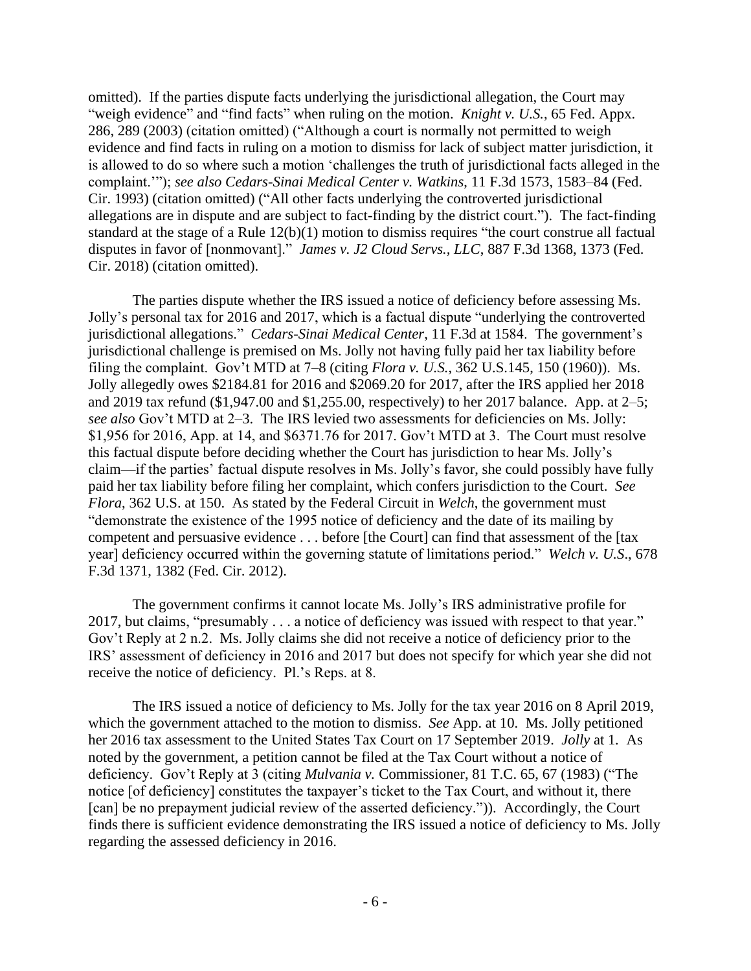omitted). If the parties dispute facts underlying the jurisdictional allegation, the Court may "weigh evidence" and "find facts" when ruling on the motion. *Knight v. U.S.*, 65 Fed. Appx. 286, 289 (2003) (citation omitted) ("Although a court is normally not permitted to weigh evidence and find facts in ruling on a motion to dismiss for lack of subject matter jurisdiction, it is allowed to do so where such a motion 'challenges the truth of jurisdictional facts alleged in the complaint.'"); *see also Cedars-Sinai Medical Center v. Watkins*, 11 F.3d 1573, 1583–84 (Fed. Cir. 1993) (citation omitted) ("All other facts underlying the controverted jurisdictional allegations are in dispute and are subject to fact-finding by the district court."). The fact-finding standard at the stage of a Rule 12(b)(1) motion to dismiss requires "the court construe all factual disputes in favor of [nonmovant]." *James v. J2 Cloud Servs., LLC*, 887 F.3d 1368, 1373 (Fed. Cir. 2018) (citation omitted).

The parties dispute whether the IRS issued a notice of deficiency before assessing Ms. Jolly's personal tax for 2016 and 2017, which is a factual dispute "underlying the controverted jurisdictional allegations." *Cedars-Sinai Medical Center*, 11 F.3d at 1584. The government's jurisdictional challenge is premised on Ms. Jolly not having fully paid her tax liability before filing the complaint. Gov't MTD at 7–8 (citing *Flora v. U.S.*, 362 U.S.145, 150 (1960)). Ms. Jolly allegedly owes \$2184.81 for 2016 and \$2069.20 for 2017, after the IRS applied her 2018 and 2019 tax refund (\$1,947.00 and \$1,255.00, respectively) to her 2017 balance. App. at 2–5; *see also* Gov't MTD at 2–3. The IRS levied two assessments for deficiencies on Ms. Jolly: \$1,956 for 2016, App. at 14, and \$6371.76 for 2017. Gov't MTD at 3. The Court must resolve this factual dispute before deciding whether the Court has jurisdiction to hear Ms. Jolly's claim—if the parties' factual dispute resolves in Ms. Jolly's favor, she could possibly have fully paid her tax liability before filing her complaint, which confers jurisdiction to the Court. *See Flora*, 362 U.S. at 150. As stated by the Federal Circuit in *Welch*, the government must "demonstrate the existence of the 1995 notice of deficiency and the date of its mailing by competent and persuasive evidence . . . before [the Court] can find that assessment of the [tax year] deficiency occurred within the governing statute of limitations period." *Welch v. U.S*., 678 F.3d 1371, 1382 (Fed. Cir. 2012).

The government confirms it cannot locate Ms. Jolly's IRS administrative profile for 2017, but claims, "presumably . . . a notice of deficiency was issued with respect to that year." Gov't Reply at 2 n.2. Ms. Jolly claims she did not receive a notice of deficiency prior to the IRS' assessment of deficiency in 2016 and 2017 but does not specify for which year she did not receive the notice of deficiency. Pl.'s Reps. at 8.

The IRS issued a notice of deficiency to Ms. Jolly for the tax year 2016 on 8 April 2019, which the government attached to the motion to dismiss. *See* App. at 10. Ms. Jolly petitioned her 2016 tax assessment to the United States Tax Court on 17 September 2019. *Jolly* at 1*.* As noted by the government, a petition cannot be filed at the Tax Court without a notice of deficiency. Gov't Reply at 3 (citing *Mulvania v.* Commissioner, 81 T.C. 65, 67 (1983) ("The notice [of deficiency] constitutes the taxpayer's ticket to the Tax Court, and without it, there [can] be no prepayment judicial review of the asserted deficiency.")). Accordingly, the Court finds there is sufficient evidence demonstrating the IRS issued a notice of deficiency to Ms. Jolly regarding the assessed deficiency in 2016.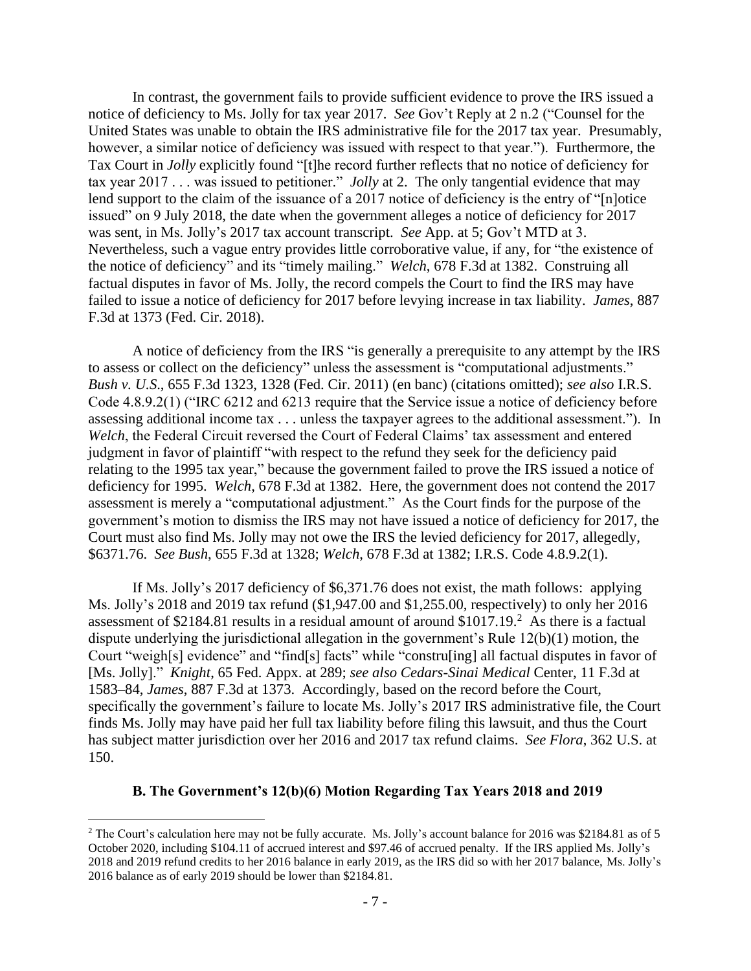In contrast, the government fails to provide sufficient evidence to prove the IRS issued a notice of deficiency to Ms. Jolly for tax year 2017. *See* Gov't Reply at 2 n.2 ("Counsel for the United States was unable to obtain the IRS administrative file for the 2017 tax year. Presumably, however, a similar notice of deficiency was issued with respect to that year."). Furthermore, the Tax Court in *Jolly* explicitly found "[t]he record further reflects that no notice of deficiency for tax year 2017 . . . was issued to petitioner." *Jolly* at 2. The only tangential evidence that may lend support to the claim of the issuance of a 2017 notice of deficiency is the entry of "[n]otice issued" on 9 July 2018, the date when the government alleges a notice of deficiency for 2017 was sent, in Ms. Jolly's 2017 tax account transcript. *See* App. at 5; Gov't MTD at 3. Nevertheless, such a vague entry provides little corroborative value, if any, for "the existence of the notice of deficiency" and its "timely mailing." *Welch*, 678 F.3d at 1382. Construing all factual disputes in favor of Ms. Jolly, the record compels the Court to find the IRS may have failed to issue a notice of deficiency for 2017 before levying increase in tax liability. *James*, 887 F.3d at 1373 (Fed. Cir. 2018).

A notice of deficiency from the IRS "is generally a prerequisite to any attempt by the IRS to assess or collect on the deficiency" unless the assessment is "computational adjustments." *Bush v. U.S*., 655 F.3d 1323, 1328 (Fed. Cir. 2011) (en banc) (citations omitted); *see also* I.R.S. Code 4.8.9.2(1) ("IRC 6212 and 6213 require that the Service issue a notice of deficiency before assessing additional income tax . . . unless the taxpayer agrees to the additional assessment."). In *Welch*, the Federal Circuit reversed the Court of Federal Claims' tax assessment and entered judgment in favor of plaintiff "with respect to the refund they seek for the deficiency paid relating to the 1995 tax year," because the government failed to prove the IRS issued a notice of deficiency for 1995. *Welch*, 678 F.3d at 1382. Here, the government does not contend the 2017 assessment is merely a "computational adjustment." As the Court finds for the purpose of the government's motion to dismiss the IRS may not have issued a notice of deficiency for 2017, the Court must also find Ms. Jolly may not owe the IRS the levied deficiency for 2017, allegedly, \$6371.76. *See Bush*, 655 F.3d at 1328; *Welch*, 678 F.3d at 1382; I.R.S. Code 4.8.9.2(1).

If Ms. Jolly's 2017 deficiency of \$6,371.76 does not exist, the math follows: applying Ms. Jolly's 2018 and 2019 tax refund (\$1,947.00 and \$1,255.00, respectively) to only her 2016 assessment of \$2184.81 results in a residual amount of around  $$1017.19$ <sup>2</sup> As there is a factual dispute underlying the jurisdictional allegation in the government's Rule 12(b)(1) motion, the Court "weigh[s] evidence" and "find[s] facts" while "constru[ing] all factual disputes in favor of [Ms. Jolly]." *Knight*, 65 Fed. Appx. at 289; *see also Cedars-Sinai Medical* Center, 11 F.3d at 1583–84, *James*, 887 F.3d at 1373. Accordingly, based on the record before the Court, specifically the government's failure to locate Ms. Jolly's 2017 IRS administrative file, the Court finds Ms. Jolly may have paid her full tax liability before filing this lawsuit, and thus the Court has subject matter jurisdiction over her 2016 and 2017 tax refund claims. *See Flora*, 362 U.S. at 150.

### **B. The Government's 12(b)(6) Motion Regarding Tax Years 2018 and 2019**

<sup>&</sup>lt;sup>2</sup> The Court's calculation here may not be fully accurate. Ms. Jolly's account balance for 2016 was \$2184.81 as of 5 October 2020, including \$104.11 of accrued interest and \$97.46 of accrued penalty. If the IRS applied Ms. Jolly's 2018 and 2019 refund credits to her 2016 balance in early 2019, as the IRS did so with her 2017 balance, Ms. Jolly's 2016 balance as of early 2019 should be lower than \$2184.81.